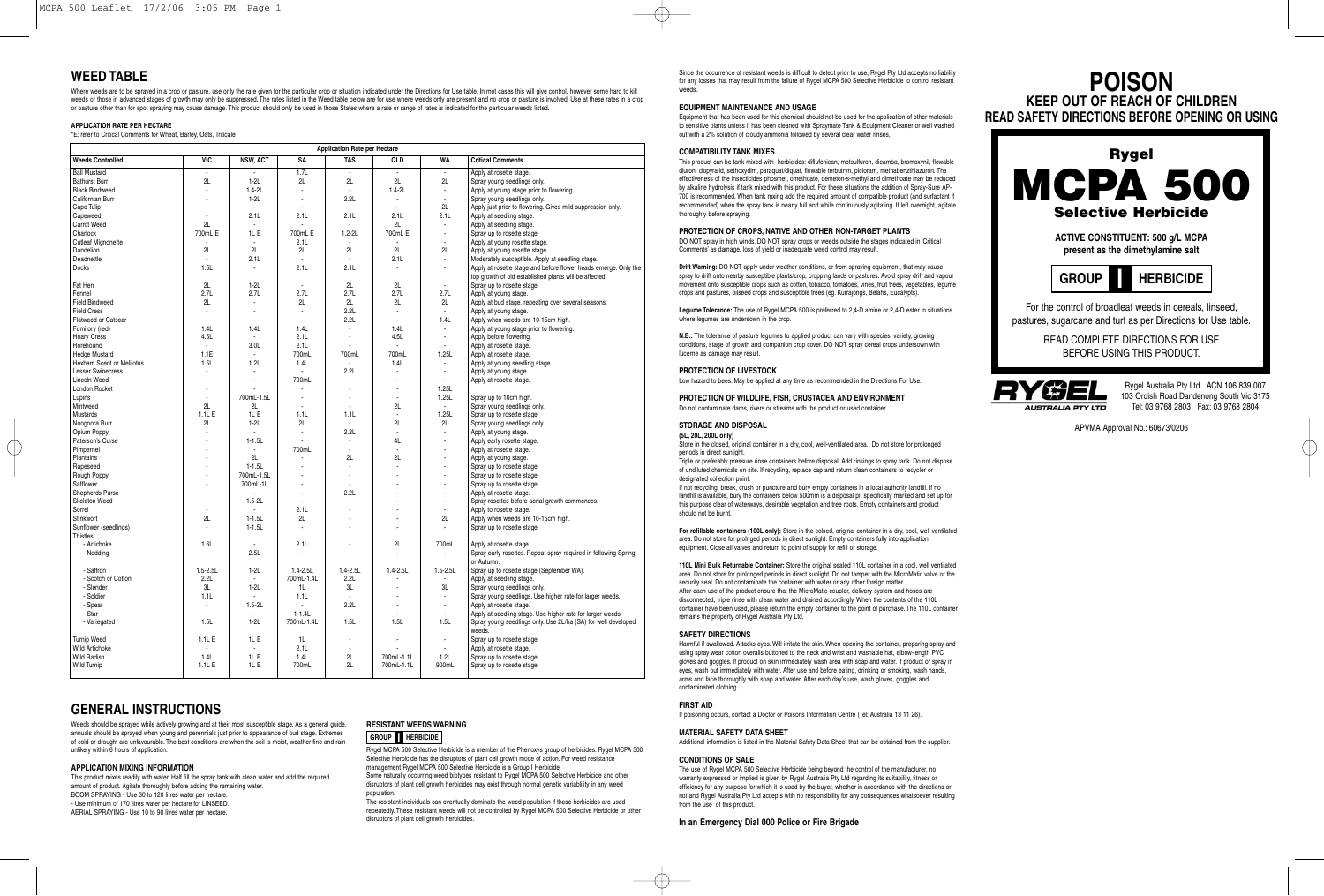### **WEED TABLE**

Where weeds are to be sprayed in a crop or pasture, use only the rate given for the particular crop or situation indicated under the Directions for Use table. In mot cases this will give control, however some hard to kill weeds or those in advanced stages of growth may only be suppressed. The rates listed in the Weed table below are for use where weeds only are present and no crop or pasture is involved. Use at these rates in a crop or pasture other than for spot spraying may cause damage. This product should only be used in those States where a rate or range of rates is indicated for the particular weeds listed.

#### **APPLICATION RATE PER HECTARE**

\*E: refer to Critical Comments for Wheat, Barley, Oats, Triticale

|                            |                          |                          |                          | <b>Application Rate per Hectare</b> |                          |                          |                                                                                                                           |
|----------------------------|--------------------------|--------------------------|--------------------------|-------------------------------------|--------------------------|--------------------------|---------------------------------------------------------------------------------------------------------------------------|
| <b>Weeds Controlled</b>    | <b>VIC</b>               | <b>NSW, ACT</b>          | SA                       | <b>TAS</b>                          | QLD                      | <b>WA</b>                | <b>Critical Comments</b>                                                                                                  |
| <b>Ball Mustard</b>        | ÷                        |                          | 1.7L                     |                                     |                          | $\overline{a}$           | Apply at rosette stage.                                                                                                   |
| <b>Bathurst Burr</b>       | 2L                       | $1-2L$                   | 2L                       | 2L                                  | 2L                       | 2L                       | Spray young seedlings only.                                                                                               |
| <b>Black Bindweed</b>      | Ĭ.                       | $1.4 - 2L$               |                          | $\overline{a}$                      | $1.4 - 2L$               | $\overline{a}$           | Apply at young stage prior to flowering.                                                                                  |
| Californian Burr           | ÷                        | $1-2L$                   |                          | 2.2L                                |                          | $\overline{\phantom{a}}$ | Spray young seedlings only.                                                                                               |
| Cape Tulip                 | ÷,                       | $\overline{a}$           |                          |                                     |                          | 2L                       | Apply just prior to flowering. Gives mild suppression only.                                                               |
| Capeweed                   | ÷                        | 2.1L                     | 2.1L                     | 2.1L                                | 2.1L                     | 2.1L                     | Apply at seedling stage.                                                                                                  |
| Carrot Weed                | 2L                       | $\overline{a}$           |                          | ÷                                   | 2L                       | $\overline{a}$           | Apply at seedling stage.                                                                                                  |
| Charlock                   | 700mL E                  | 1L E                     | 700mL E                  | $1.2 - 2L$                          | 700mL E                  | $\overline{\phantom{a}}$ | Spray up to rosette stage.                                                                                                |
| <b>Cutleaf Mignonette</b>  | ÷.                       | $\overline{\phantom{a}}$ | 2.1L                     | $\overline{a}$                      | Ĭ.                       | $\overline{a}$           | Apply at young rosette stage.                                                                                             |
| Dandelion                  | 2L                       | 2L                       | 2L                       | 2L                                  | 2L                       | 2L                       | Apply at young rosette stage.                                                                                             |
| Deadnettle                 | $\overline{a}$           | 2.1L                     | $\overline{\phantom{a}}$ | $\overline{\phantom{a}}$            | 2.1L                     |                          |                                                                                                                           |
|                            |                          |                          |                          |                                     |                          | $\overline{\phantom{a}}$ | Moderately susceptible. Apply at seedling stage.                                                                          |
| <b>Docks</b>               | 1.5L                     |                          | 2.1L                     | 2.1L                                |                          | ٠                        | Apply at rosette stage and before flower heads emerge. Only the<br>top growth of old established plants will be affected. |
| Fat Hen                    | 2L                       | $1-2L$                   |                          | 2L                                  | 2L                       |                          | Spray up to rosette stage.                                                                                                |
| Fennel                     | 2.7L                     | 2.7L                     | 2.7L                     | 2.7L                                | 2.7L                     | 2.7L                     | Apply at young stage.                                                                                                     |
| <b>Field Bindweed</b>      | 2L                       |                          | 2L                       | 2L                                  | 2L                       | 2L                       | Apply at bud stage, repeating over several seasons.                                                                       |
| <b>Field Cress</b>         |                          |                          | $\blacksquare$           | 2.2L                                | $\blacksquare$           | $\blacksquare$           |                                                                                                                           |
|                            | $\overline{\phantom{a}}$ |                          |                          |                                     |                          |                          | Apply at young stage.                                                                                                     |
| <b>Flatweed or Catsear</b> |                          |                          |                          | 2.2L                                |                          | 1.4L                     | Apply when weeds are 10-15cm high.                                                                                        |
| Fumitory (red)             | 1.4L                     | 1.4L                     | 1.4L                     | ÷                                   | 1.4L                     |                          | Apply at young stage prior to flowering.                                                                                  |
| <b>Hoary Cress</b>         | 4.5L                     | $\overline{\phantom{a}}$ | 2.1L                     | $\overline{a}$                      | 4.5L                     | ÷,                       | Apply before flowering.                                                                                                   |
| Horehound                  | $\mathbf{r}$             | 3.0L                     | 2.1L                     |                                     | $\overline{a}$           |                          | Apply at rosette stage.                                                                                                   |
| Hedge Mustard              | 1.1E                     | $\sim$                   | 700mL                    | 700mL                               | 700mL                    | 1.25L                    | Apply at rosette stage.                                                                                                   |
| Hexham Scent or Melilotus  | 1.5L                     | 1.2L                     | 1.4L                     | $\overline{a}$                      | 1.4L                     |                          | Apply at young seedling stage.                                                                                            |
| <b>Lesser Swinecress</b>   | $\overline{a}$           | $\overline{a}$           |                          | 2.2L                                | $\overline{\phantom{a}}$ | $\overline{\phantom{a}}$ | Apply at young stage.                                                                                                     |
| <b>Lincoln Weed</b>        | ÷                        |                          | 700mL                    |                                     | $\overline{a}$           |                          | Apply at rosette stage.                                                                                                   |
| London Rocket              | ٠                        |                          |                          |                                     | ä,                       | 1.25L                    |                                                                                                                           |
| Lupins                     | Ĭ.                       | 700mL-1.5L               |                          |                                     |                          | 1.25L                    | Spray up to 10cm high.                                                                                                    |
| Mintweed                   | 2L                       | 2L                       |                          |                                     | 2L                       |                          | Spray young seedlings only.                                                                                               |
| Mustards                   | 1.1L E                   | 1L <sub>E</sub>          | 1.1L                     | 1.1L                                | Ĭ.                       | 1.25L                    | Spray up to rosette stage.                                                                                                |
| Noogoora Burr              | 2L                       | $1-2L$                   | 2L                       | $\overline{\phantom{a}}$            | 2L                       | 2L                       | Spray young seedlings only.                                                                                               |
|                            | ÷.                       |                          | $\overline{a}$           | 2.2L                                | $\overline{a}$           | $\overline{\phantom{a}}$ |                                                                                                                           |
| Opium Poppy                | L,                       |                          |                          |                                     |                          |                          | Apply at young stage.                                                                                                     |
| Paterson's Curse           |                          | $1 - 1.5L$               |                          | $\overline{\phantom{a}}$            | 4L                       | $\overline{a}$           | Apply early rosette stage.                                                                                                |
| Pimpernel                  | L,                       | $\overline{a}$           | 700mL                    | $\overline{a}$                      | L,                       | $\overline{a}$           | Apply at rosette stage.                                                                                                   |
| Plantains                  | Ĭ.                       | 2L                       |                          | 2L                                  | 2L                       | $\overline{a}$           | Apply at young stage.                                                                                                     |
| Rapeseed                   | ÷                        | $1 - 1.5L$               |                          | $\overline{\phantom{a}}$            | ٠                        | $\overline{\phantom{a}}$ | Spray up to rosette stage.                                                                                                |
| Rough Poppy                |                          | 700mL-1.5L               |                          |                                     |                          | ÷                        | Spray up to rosette stage.                                                                                                |
| Safflower                  | ÷                        | 700mL-1L                 |                          |                                     |                          | $\blacksquare$           | Spray up to rosette stage.                                                                                                |
| Shepherds Purse            |                          |                          |                          | 2.2L                                |                          | ÷                        | Apply at rosette stage.                                                                                                   |
| <b>Skeleton Weed</b>       | ÷                        | $1.5 - 2L$               |                          |                                     |                          | $\overline{\phantom{a}}$ | Spray rosettes before aerial growth commences.                                                                            |
| Sorrel                     |                          |                          | 2.1L                     |                                     |                          |                          | Apply to rosette stage.                                                                                                   |
| Stinkwort                  | 2L                       | $1 - 1.5L$               | 2L                       |                                     |                          | 2L                       | Apply when weeds are 10-15cm high.                                                                                        |
| Sunflower (seedlings)      | $\overline{a}$           | $1 - 1.5L$               |                          |                                     |                          |                          | Spray up to rosette stage.                                                                                                |
| <b>Thistles</b>            |                          |                          |                          |                                     |                          |                          |                                                                                                                           |
| - Artichoke                | 1.6L                     | $\overline{a}$           | 2.1L                     |                                     | 2L                       | 700mL                    | Apply at rosette stage.                                                                                                   |
| - Nodding                  | ÷,                       | 2.5L                     |                          | ÷                                   |                          |                          | Spray early rosettes. Repeat spray required in following Spring                                                           |
|                            |                          |                          |                          |                                     |                          |                          | or Autumn.                                                                                                                |
| - Saffron                  | $1.5 - 2.5L$             | $1-2L$                   | $1.4 - 2.5L$             | $1.4 - 2.5L$                        | $1.4 - 2.5L$             | $1.5 - 2.5L$             | Spray up to rosette stage (September WA).                                                                                 |
| - Scotch or Cotton         | 2.2L                     | $\sim$                   | 700mL-1.4L               | 2.2L                                |                          |                          | Apply at seedling stage.                                                                                                  |
| - Slender                  | 3L                       | $1-2L$                   | 1L                       | 3L                                  | $\overline{a}$           | 3L                       | Spray young seedlings only.                                                                                               |
| - Soldier                  | 1.1L                     | $\blacksquare$           | 1.1L                     | ÷,                                  |                          | $\overline{\phantom{a}}$ | Spray young seedlings. Use higher rate for larger weeds.                                                                  |
| - Spear                    | ÷.                       | $1.5 - 2L$               |                          | 2.2L                                |                          |                          | Apply at rosette stage.                                                                                                   |
| - Star                     | ÷.                       | $\overline{a}$           | $1 - 1.4L$               | ÷,                                  |                          |                          | Apply at seedling stage. Use higher rate for larger weeds.                                                                |
| - Variegated               | 1.5L                     | $1-2L$                   | 700mL-1.4L               | 1.5L                                | 1.5L                     | 1.5L                     | Spray young seedlings only. Use 2L/ha (SA) for well developed                                                             |
|                            |                          | 1L <sub>E</sub>          | 1L                       | ÷,                                  |                          |                          | weeds.                                                                                                                    |
| <b>Turnip Weed</b>         | 1.1L E                   |                          |                          |                                     |                          | $\overline{\phantom{a}}$ | Spray up to rosette stage.                                                                                                |
| <b>Wild Artichoke</b>      | ÷                        | $\overline{\phantom{a}}$ | 2.1L                     | $\overline{a}$                      |                          |                          | Apply at rosette stage.                                                                                                   |
| <b>Wild Radish</b>         | 1.4L                     | 1L E                     | 1.4L                     | 2L                                  | 700mL-1.1L               | 1.2L                     | Spray up to rosette stage.                                                                                                |
| Wild Turnip                | 1.1L E                   | 1L E                     | 700mL                    | 2L                                  | 700mL-1.1L               | 900mL                    | Spray up to rosette stage.                                                                                                |
|                            |                          |                          |                          |                                     |                          |                          |                                                                                                                           |

## **GENERAL INSTRUCTIONS**

Weeds should be sprayed while actively growing and at their most susceptible stage. As a general guide annuals should be sprayed when young and perennials just prior to appearance of bud stage. Extremes of cold or drought are unfavourable. The best conditions are when the soil is moist, weather fine and rain unlikely within 6 hours of application.

#### **APPLICATION MIXING INFORMATION**

This product mixes readily with water. Half fill the spray tank with clean water and add the required amount of product. Agitate thoroughly before adding the remaining water. BOOM SPRAYING - Use 30 to 120 litres water per hectare. - Use minimum of 170 litres water per hectare for LINSEED. AERIAL SPRAYING - Use 10 to 90 litres water per hectare.

### **RESISTANT WEEDS WARNING GROUP HERBICIDE I**

Rygel MCPA 500 Selective Herbicide is a member of the Phenoxys group of herbicides. Rygel MCPA 500 Selective Herbicide has the disruptors of plant cell growth mode of action. For weed resistance management Rygel MCPA 500 Selective Herbicide is a Group I Herbicide. Some naturally occurring weed biotypes resistant to Rygel MCPA 500 Selective Herbicide and other

disruptors of plant cell growth herbicides may exist through normal genetic variablility in any weed population.

The resistant individuals can eventually dominate the weed population if these herbicides are used repeatedly. These resistant weeds will not be controlled by Rygel MCPA 500 Selective Herbicide or other disruptors of plant cell growth herbicides.

Since the occurrence of resistant weeds is difficult to detect prior to use, Rygel Pty Ltd accepts no liability for any losses that may result from the failure of Rygel MCPA 500 Selective Herbicide to control resistant weeds.

#### **EQUIPMENT MAINTENANCE AND USAGE**

Equipment that has been used for this chemical should not be used for the application of other materials to sensitive plants unless it has been cleaned with Spraymate Tank & Equipment Cleaner or well washed out with a 2% solution of cloudy ammonia followed by several clear water rinses.

#### **COMPATIBILITY TANK MIXES**

This product can be tank mixed with herbicides: diflufenican, metsulfuron, dicamba, bromoxynil, flowable diuron, clopyralid, sethoxydim, paraquat/diquat, flowable terbutryn, picloram, methabenzthiazuron. The effectiveness of the insecticides phosmet, omethoate, demeton-s-methyl and dimethoate may be reduced by alkaline hydrolysis if tank mixed with this product. For these situations the addition of Spray-Sure AP-700 is recommended. When tank mxing add the required amount of compatible product (and surfactant if recommended) when the spray tank is nearly full and while continuously agitating. If left overnight, agitate thoroughly before spraying.

### **PROTECTION OF CROPS, NATIVE AND OTHER NON-TARGET PLANTS**

DO NOT spray in high winds. DO NOT spray crops or weeds outside the stages indicated in 'Critical Comments' as damage, loss of yield or inadequate weed control may result.

**Drift Warning:** DO NOT apply under weather conditions, or from spraying equipment, that may cause spray to drift onto nearby susceptible plants/crop, cropping lands or pastures. Avoid spray drift and vapour movement onto susceptible crops such as cotton, tobacco, tomatoes, vines, fruit trees, vegetables, legume crops and pastures, oilseed crops and susceptible trees (eg. Kurrajongs, Belahs, Eucalypts).

**Legume Tolerance:** The use of Rygel MCPA 500 is preferred to 2,4-D amine or 2,4-D ester in situations where legumes are undersown in the crop.

**N.B.:** The tolerance of pasture legumes to applied product can vary with species, variety, growing conditions, stage of growth and companion crop cover. DO NOT spray cereal crops undersown with lucerne as damage may result.

### **PROTECTION OF LIVESTOCK**

Low hazard to bees. May be applied at any time as recommended in the Directions For Use.

#### **PROTECTION OF WILDLIFE, FISH, CRUSTACEA AND ENVIRONMENT** Do not contaminate dams, rivers or streams with the product or used container.

#### **STORAGE AND DISPOSAL**

**(5L, 20L, 200L only)** Store in the closed, original container in a dry, cool, well-ventilated area. Do not store for prolonged periods in direct sunlight.

Triple or preferably pressure rinse containers before disposal. Add rinsings to spray tank. Do not dispose of undiluted chemicals on site. If recycling, replace cap and return clean containers to recycler or designated collection point.

If not recycling, break, crush or puncture and bury empty containers in a local authority landfill. If no landfill is available, bury the containers below 500mm is a disposal pit specifically marked and set up for this purpose clear of waterways, desirable vegetation and tree roots. Empty containers and product should not be burnt.

**For refillable containers (100L only):** Store in the colsed, original container in a dry, cool, well ventilated area. Do not store for prolnged periods in direct sunlight. Empty containers fully into application equipment. Close all valves and return to point of supply for refill or storage.

**110L Mini Bulk Returnable Container:** Store the original sealed 110L container in a cool, well ventilated area. Do not store for prolonged periods in direct sunlight. Do not tamper with the MicroMatic valve or the security seal. Do not contaminate the container with water or any other foreign matter. After each use of the product ensure that the MicroMatic coupler, delivery system and hoses are disconnected, triple rinse with clean water and drained accordingly. When the contents of the 110L container have been used, please return the empty container to the point of purchase. The 110L container remains the property of Rygel Australia Pty Ltd.

#### **SAFETY DIRECTIONS**

Harmful if swallowed. Attacks eyes. Will irritate the skin. When opening the container, preparing spray and using spray wear cotton overalls buttoned to the neck and wrist and washable hat, elbow-length PVC gloves and goggles. If product on skin immediately wash area with soap and water. If product or spray in eyes, wash out immediately with water. After use and before eating, drinking or smoking, wash hands, arms and face thoroughly with soap and water. After each day's use, wash gloves, goggles and contaminated clothing.

#### **FIRST AID**

If poisoning occurs, contact a Doctor or Poisons Information Centre (Tel: Australia 13 11 26).

#### **MATERIAL SAFETY DATA SHEET**

### Additional information is listed in the Material Safety Data Sheet that can be obtained from the supplier.

**CONDITIONS OF SALE**

The use of Rygel MCPA 500 Selective Herbicide being beyond the control of the manufacturer, no warranty expressed or implied is given by Rygel Australia Pty Ltd regarding its suitability, fitness or efficiency for any purpose for which it is used by the buyer, whether in accordance with the directions or not and Rygel Australia Pty Ltd accepts with no responsibility for any consequences whatsoever resulting from the use of this product.

#### **In an Emergency Dial 000 Police or Fire Brigade**





APVMA Approval No.: 60673/0206